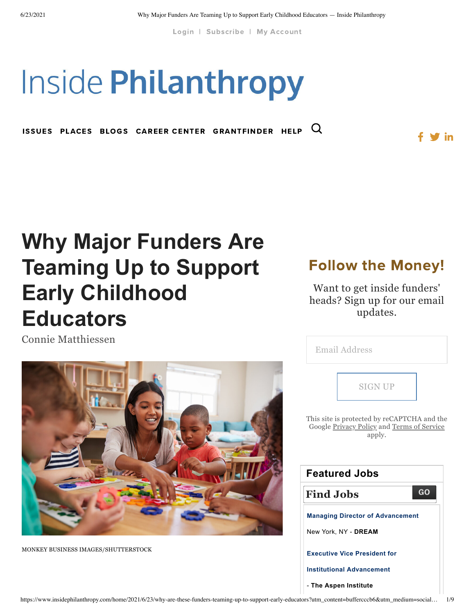[Login](https://www.insidephilanthropy.com/account-page) | [Subscribe](https://www.insidephilanthropy.com/membership) | My [Account](https://www.insidephilanthropy.com/account-page)

# **Inside Philanthropy**

ISSUES PLACES BLOGS [CAREER](http://jobs.insidephilanthropy.com/) CENTER GRANTFINDER [HELP](https://www.insidephilanthropy.com/help/page)  $Q$ 

## **[Why Major Funders Are](https://www.insidephilanthropy.com/home/2021/6/23/why-are-these-funders-teaming-up-to-support-early-educators) Teaming Up to Support Early Childhood Educators**

Connie [Matthiessen](https://www.insidephilanthropy.com/home?author=5f8ca6cdf762bd1e473e904c)



MONKEY BUSINESS IMAGES/SHUTTERSTOCK

### Follow the Money!

 $\blacksquare$  in

Want to get inside funders' heads? Sign up for our email updates.

| Email Address                                                                                       |  |  |  |  |
|-----------------------------------------------------------------------------------------------------|--|--|--|--|
| <b>SIGN UP</b>                                                                                      |  |  |  |  |
| This site is protected by reCAPTCHA and the<br>Google Privacy Policy and Terms of Service<br>apply. |  |  |  |  |
| <b>Featured Jobs</b>                                                                                |  |  |  |  |
|                                                                                                     |  |  |  |  |
| GO<br><b>Find Jobs</b>                                                                              |  |  |  |  |
| <b>Managing Director of Advancement</b>                                                             |  |  |  |  |
| New York, NY - DREAM                                                                                |  |  |  |  |
| <b>Executive Vice President for</b>                                                                 |  |  |  |  |
| <b>Institutional Advancement</b>                                                                    |  |  |  |  |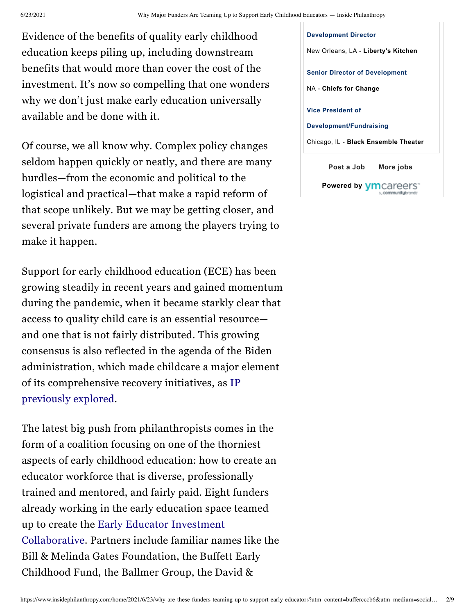Evidence of the benefits of quality early childhood education keeps piling up, including downstream benefits that would more than cover the cost of the investment. It's now so compelling that one wonders why we don't just make early education universally available and be done with it.

Of course, we all know why. Complex policy changes seldom happen quickly or neatly, and there are many hurdles—from the economic and political to the logistical and practical—that make a rapid reform of that scope unlikely. But we may be getting closer, and several private funders are among the players trying to make it happen.

Support for early childhood education (ECE) has been growing steadily in recent years and gained momentum during the pandemic, when it became starkly clear that access to quality child care is an essential resource and one that is not fairly distributed. This growing consensus is also reflected in the agenda of the Biden administration, which made childcare a major element of its [comprehensive](https://www.insidephilanthropy.com/home/2021/5/11/funders-fighting-child-poverty-see-bidens-plans-as-a-victory-and-potential-game-changer) recovery initiatives, as IP previously explored.

The latest big push from philanthropists comes in the form of a coalition focusing on one of the thorniest aspects of early childhood education: how to create an educator workforce that is diverse, professionally trained and mentored, and fairly paid. Eight funders already working in the early education space teamed up to create the Early Educator Investment [Collaborative.](https://earlyedcollaborative.org/) Partners include familiar names like the Bill & Melinda Gates Foundation, the Buffett Early Childhood Fund, the Ballmer Group, the David &

**[Post](https://jobs.insidephilanthropy.com/employer/post/?site_id=22041) a Job [More](https://jobs.insidephilanthropy.com/jobs/?site_id=22041) jobs Powered by [Development](https://jobs.insidephilanthropy.com/job/development-director/57250846/22041/) Director** New Orleans, LA - **Liberty's Kitchen Senior Director of [Development](https://jobs.insidephilanthropy.com/job/senior-director-of-development/57041259/22041/)** NA - **Chiefs for Change Vice President of [Development/Fundraising](https://jobs.insidephilanthropy.com/job/vice-president-of-developmentfundraising/56349537/22041/)** Chicago, IL - **Black Ensemble Theater**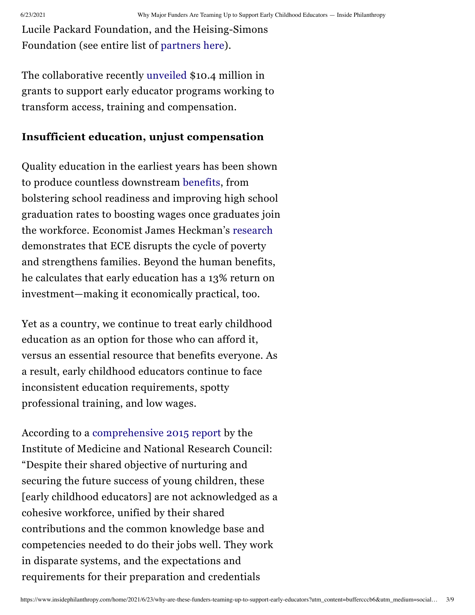Lucile Packard Foundation, and the Heising-Simons Foundation (see entire list of [partners](https://earlyedcollaborative.org/who-we-are/) here).

The collaborative recently [unveiled](https://earlyedcollaborative.org/what-we-do/grants/innovation-grant-opportunity/) \$10.4 million in grants to support early educator programs working to transform access, training and compensation.

#### **Insufficient education, unjust compensation**

Quality education in the earliest years has been shown to produce countless downstream [benefits](https://www.nea.org/student-success/smart-just-policies/funding-public-schools/early-childhood-education), from bolstering school readiness and improving high school graduation rates to boosting wages once graduates join the workforce. Economist James Heckman's [research](https://heckmanequation.org/www/assets/2017/01/F_Heckman_CBAOnePager_120516.pdf) demonstrates that ECE disrupts the cycle of poverty and strengthens families. Beyond the human benefits, he calculates that early education has a 13% return on investment—making it economically practical, too.

Yet as a country, we continue to treat early childhood education as an option for those who can afford it, versus an essential resource that benefits everyone. As a result, early childhood educators continue to face inconsistent education requirements, spotty professional training, and low wages.

According to a [comprehensive](https://www.nap.edu/catalog/19401/transforming-the-workforce-for-children-birth-through-age-8-a) 2015 report by the Institute of Medicine and National Research Council: "Despite their shared objective of nurturing and securing the future success of young children, these [early childhood educators] are not acknowledged as a cohesive workforce, unified by their shared contributions and the common knowledge base and competencies needed to do their jobs well. They work in disparate systems, and the expectations and requirements for their preparation and credentials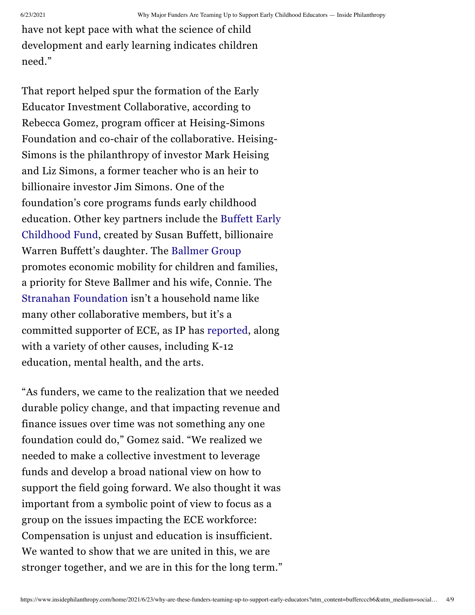have not kept pace with what the science of child development and early learning indicates children need."

That report helped spur the formation of the Early Educator Investment Collaborative, according to Rebecca Gomez, program officer at Heising-Simons Foundation and co-chair of the collaborative. Heising-Simons is the philanthropy of investor Mark Heising and Liz Simons, a former teacher who is an heir to billionaire investor Jim Simons. One of the foundation's core programs funds early childhood [education.](https://www.insidephilanthropy.com/fundraising-early-childhood/buffett-early-childhood-fund-grants-for-early-childhood-educ.html) Other key partners include the Buffett Early Childhood Fund, created by Susan Buffett, billionaire Warren Buffett's daughter. The [Ballmer](https://www.insidephilanthropy.com/grants-b/ballmer-group) Group promotes economic mobility for children and families, a priority for Steve Ballmer and his wife, Connie. The Stranahan [Foundation](https://www.insidephilanthropy.com/grants-for-k-12-education/stranahan-foundation-grants-for-k-12-education.html) isn't a household name like many other collaborative members, but it's a committed supporter of ECE, as IP has [reported,](https://www.insidephilanthropy.com/home/2018/3/28/this-early-childhood-education-collaborative-has-some-big-backers) along with a variety of other causes, including K-12 education, mental health, and the arts.

"As funders, we came to the realization that we needed durable policy change, and that impacting revenue and finance issues over time was not something any one foundation could do," Gomez said. "We realized we needed to make a collective investment to leverage funds and develop a broad national view on how to support the field going forward. We also thought it was important from a symbolic point of view to focus as a group on the issues impacting the ECE workforce: Compensation is unjust and education is insufficient. We wanted to show that we are united in this, we are stronger together, and we are in this for the long term."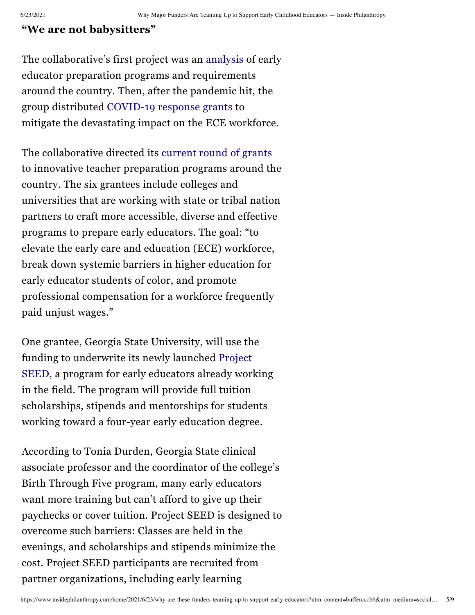#### **"We are not babysitters"**

The collaborative's first project was an [analysis](https://earlyedcollaborative.org/what-we-do/grants/research-reports/) of early educator preparation programs and requirements around the country. Then, after the pandemic hit, the group distributed [COVID-19](https://earlyedcollaborative.org/what-we-do/grants/covid19-response-grants/) response grants to mitigate the devastating impact on the ECE workforce.

The collaborative directed its [current](https://earlyedcollaborative.org/assets/2021/06/F_Innovation-Grant-Press-Release_060321v2.pdf) round of grants to innovative teacher preparation programs around the country. The six grantees include colleges and universities that are working with state or tribal nation partners to craft more accessible, diverse and effective programs to prepare early educators. The goal: "to elevate the early care and education (ECE) workforce, break down systemic barriers in higher education for early educator students of color, and promote professional compensation for a workforce frequently paid unjust wages."

One grantee, Georgia State University, will use the funding to [underwrite](https://education.gsu.edu/ecee/academicsecee/support-for-project-seed-scholars/) its newly launched Project SEED, a program for early educators already working in the field. The program will provide full tuition scholarships, stipends and mentorships for students working toward a four-year early education degree.

According to Tonia Durden, Georgia State clinical associate professor and the coordinator of the college's Birth Through Five program, many early educators want more training but can't afford to give up their paychecks or cover tuition. Project SEED is designed to overcome such barriers: Classes are held in the evenings, and scholarships and stipends minimize the cost. Project SEED participants are recruited from partner organizations, including early learning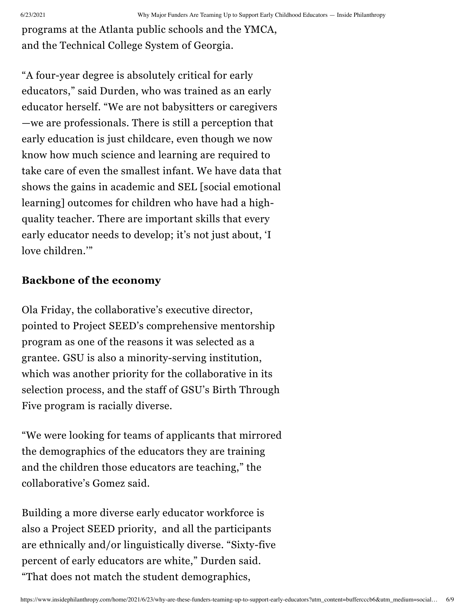programs at the Atlanta public schools and the YMCA, and the Technical College System of Georgia.

"A four-year degree is absolutely critical for early educators," said Durden, who was trained as an early educator herself. "We are not babysitters or caregivers —we are professionals. There is still a perception that early education is just childcare, even though we now know how much science and learning are required to take care of even the smallest infant. We have data that shows the gains in academic and SEL [social emotional learning] outcomes for children who have had a highquality teacher. There are important skills that every early educator needs to develop; it's not just about, 'I love children.'"

#### **Backbone of the economy**

Ola Friday, the collaborative's executive director, pointed to Project SEED's comprehensive mentorship program as one of the reasons it was selected as a grantee. GSU is also a minority-serving institution, which was another priority for the collaborative in its selection process, and the staff of GSU's Birth Through Five program is racially diverse.

"We were looking for teams of applicants that mirrored the demographics of the educators they are training and the children those educators are teaching," the collaborative's Gomez said.

Building a more diverse early educator workforce is also a Project SEED priority, and all the participants are ethnically and/or linguistically diverse. "Sixty-five percent of early educators are white," Durden said. "That does not match the student demographics,